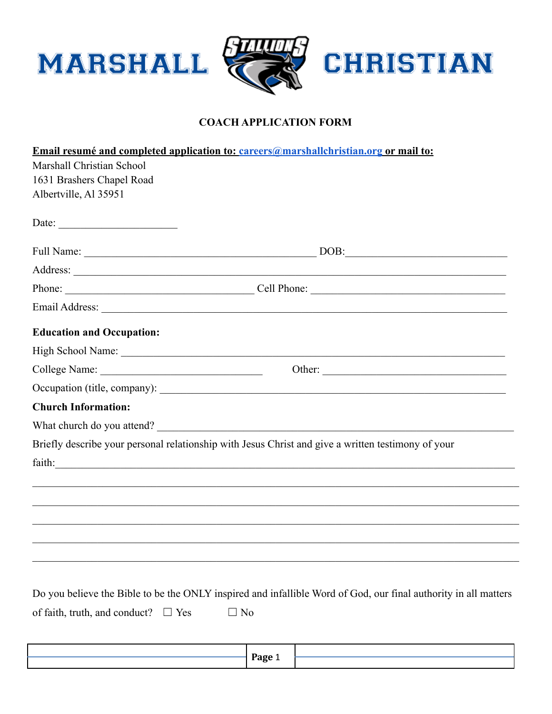

## **COACH APPLICATION FORM**

|                                             | Email resumé and completed application to: careers@marshallchristian.org or mail to:                                                                                                                                                                                                                                                                 |
|---------------------------------------------|------------------------------------------------------------------------------------------------------------------------------------------------------------------------------------------------------------------------------------------------------------------------------------------------------------------------------------------------------|
| Marshall Christian School                   |                                                                                                                                                                                                                                                                                                                                                      |
| 1631 Brashers Chapel Road                   |                                                                                                                                                                                                                                                                                                                                                      |
| Albertville, Al 35951                       |                                                                                                                                                                                                                                                                                                                                                      |
| Date:                                       |                                                                                                                                                                                                                                                                                                                                                      |
|                                             | $\boxed{\text{DOB:}\n \begin{picture}(10,10) \put(0,0){\dashbox{0.5}(10,0){100}} \put(15,0){\dashbox{0.5}(10,0){100}} \put(15,0){\dashbox{0.5}(10,0){100}} \put(15,0){\dashbox{0.5}(10,0){100}} \put(15,0){\dashbox{0.5}(10,0){100}} \put(15,0){\dashbox{0.5}(10,0){100}} \put(15,0){\dashbox{0.5}(10,0){100}} \put(15,0){\dashbox{0.5}(10,0){100}}$ |
|                                             |                                                                                                                                                                                                                                                                                                                                                      |
|                                             | Phone: Cell Phone: Cell Phone:                                                                                                                                                                                                                                                                                                                       |
|                                             |                                                                                                                                                                                                                                                                                                                                                      |
| <b>Education and Occupation:</b>            |                                                                                                                                                                                                                                                                                                                                                      |
|                                             |                                                                                                                                                                                                                                                                                                                                                      |
|                                             |                                                                                                                                                                                                                                                                                                                                                      |
|                                             |                                                                                                                                                                                                                                                                                                                                                      |
| <b>Church Information:</b>                  |                                                                                                                                                                                                                                                                                                                                                      |
|                                             |                                                                                                                                                                                                                                                                                                                                                      |
|                                             | Briefly describe your personal relationship with Jesus Christ and give a written testimony of your                                                                                                                                                                                                                                                   |
|                                             |                                                                                                                                                                                                                                                                                                                                                      |
|                                             |                                                                                                                                                                                                                                                                                                                                                      |
|                                             |                                                                                                                                                                                                                                                                                                                                                      |
|                                             |                                                                                                                                                                                                                                                                                                                                                      |
|                                             |                                                                                                                                                                                                                                                                                                                                                      |
|                                             |                                                                                                                                                                                                                                                                                                                                                      |
|                                             |                                                                                                                                                                                                                                                                                                                                                      |
|                                             | Do you believe the Bible to be the ONLY inspired and infallible Word of God, our final authority in all matters                                                                                                                                                                                                                                      |
| of faith, truth, and conduct?<br>$\Box$ Yes | $\Box$ No                                                                                                                                                                                                                                                                                                                                            |
|                                             |                                                                                                                                                                                                                                                                                                                                                      |
|                                             |                                                                                                                                                                                                                                                                                                                                                      |

| $P$ age |  |
|---------|--|
|         |  |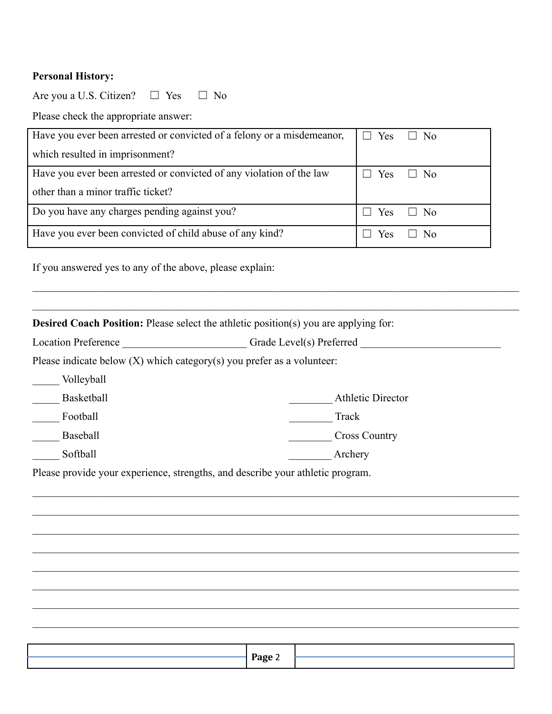# **Personal History:**

Are you a U.S. Citizen?  $\Box$  Yes  $\Box$  No

Please check the appropriate answer:

| Have you ever been arrested or convicted of a felony or a misdemean or, |              | $\Box$ Yes $\Box$ No |
|-------------------------------------------------------------------------|--------------|----------------------|
| which resulted in imprisonment?                                         |              |                      |
| Have you ever been arrested or convicted of any violation of the law    |              | Yes $\Box$ No        |
| other than a minor traffic ticket?                                      |              |                      |
| Do you have any charges pending against you?                            | $\mathbf{1}$ | Yes $\Box$ No        |
| Have you ever been convicted of child abuse of any kind?                | Yes          | $\Box$ No            |

 $\mathcal{L}_\mathcal{L} = \mathcal{L}_\mathcal{L} = \mathcal{L}_\mathcal{L} = \mathcal{L}_\mathcal{L} = \mathcal{L}_\mathcal{L} = \mathcal{L}_\mathcal{L} = \mathcal{L}_\mathcal{L} = \mathcal{L}_\mathcal{L} = \mathcal{L}_\mathcal{L} = \mathcal{L}_\mathcal{L} = \mathcal{L}_\mathcal{L} = \mathcal{L}_\mathcal{L} = \mathcal{L}_\mathcal{L} = \mathcal{L}_\mathcal{L} = \mathcal{L}_\mathcal{L} = \mathcal{L}_\mathcal{L} = \mathcal{L}_\mathcal{L}$ 

If you answered yes to any of the above, please explain:

|                                                                             | <b>Desired Coach Position:</b> Please select the athletic position(s) you are applying for: |  |
|-----------------------------------------------------------------------------|---------------------------------------------------------------------------------------------|--|
|                                                                             | Location Preference _______________________Grade Level(s) Preferred _____________           |  |
| Please indicate below $(X)$ which category $(s)$ you prefer as a volunteer: |                                                                                             |  |
| _Volleyball                                                                 |                                                                                             |  |
| Basketball                                                                  | <b>Athletic Director</b>                                                                    |  |
| Football                                                                    | Track                                                                                       |  |
| Baseball                                                                    | <b>Cross Country</b>                                                                        |  |
|                                                                             |                                                                                             |  |
| Softball                                                                    | Archery<br>Please provide your experience, strengths, and describe your athletic program.   |  |
|                                                                             |                                                                                             |  |
|                                                                             |                                                                                             |  |
|                                                                             |                                                                                             |  |
|                                                                             |                                                                                             |  |
|                                                                             |                                                                                             |  |

| $P_2$ $\sigma$ |  |
|----------------|--|
|                |  |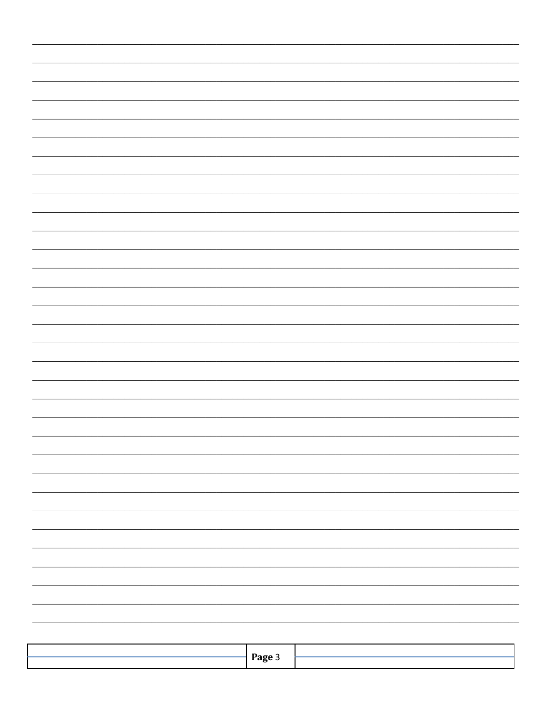|  | Page |  |
|--|------|--|
|--|------|--|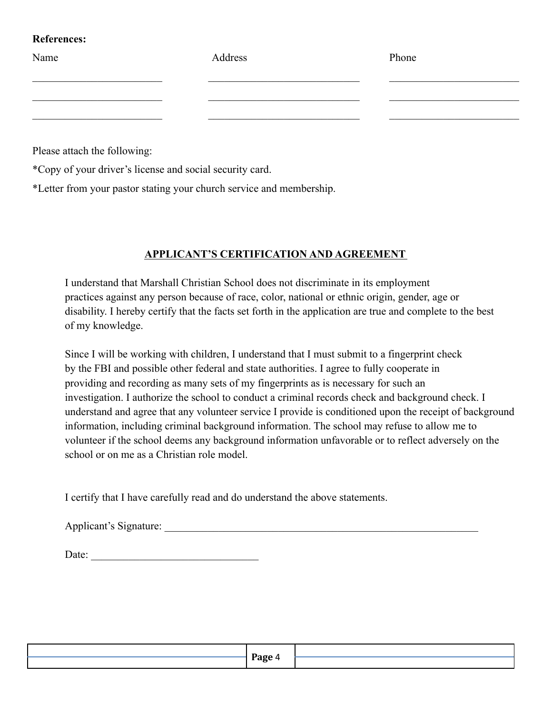#### **References:**

| Name | Address | Phone |
|------|---------|-------|
|      |         |       |
|      |         |       |

Please attach the following:

\*Copy of your driver's license and social security card.

\*Letter from your pastor stating your church service and membership.

### **APPLICANT'S CERTIFICATION AND AGREEMENT**

I understand that Marshall Christian School does not discriminate in its employment practices against any person because of race, color, national or ethnic origin, gender, age or disability. I hereby certify that the facts set forth in the application are true and complete to the best of my knowledge.

Since I will be working with children, I understand that I must submit to a fingerprint check by the FBI and possible other federal and state authorities. I agree to fully cooperate in providing and recording as many sets of my fingerprints as is necessary for such an investigation. I authorize the school to conduct a criminal records check and background check. I understand and agree that any volunteer service I provide is conditioned upon the receipt of background information, including criminal background information. The school may refuse to allow me to volunteer if the school deems any background information unfavorable or to reflect adversely on the school or on me as a Christian role model.

I certify that I have carefully read and do understand the above statements.

| Applicant's Signature: |  |
|------------------------|--|
|                        |  |

| Date: |
|-------|
|-------|

| $\sim$ |  |
|--------|--|
|        |  |
|        |  |
|        |  |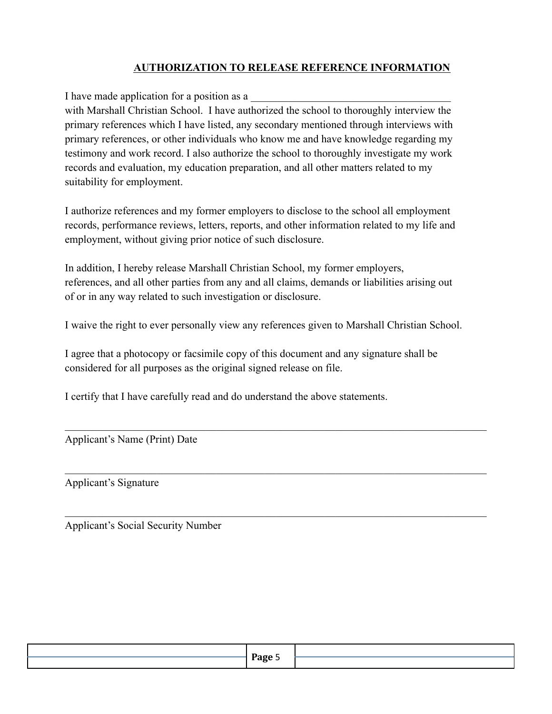## **AUTHORIZATION TO RELEASE REFERENCE INFORMATION**

I have made application for a position as a with Marshall Christian School. I have authorized the school to thoroughly interview the primary references which I have listed, any secondary mentioned through interviews with primary references, or other individuals who know me and have knowledge regarding my testimony and work record. I also authorize the school to thoroughly investigate my work records and evaluation, my education preparation, and all other matters related to my suitability for employment.

I authorize references and my former employers to disclose to the school all employment records, performance reviews, letters, reports, and other information related to my life and employment, without giving prior notice of such disclosure.

In addition, I hereby release Marshall Christian School, my former employers, references, and all other parties from any and all claims, demands or liabilities arising out of or in any way related to such investigation or disclosure.

I waive the right to ever personally view any references given to Marshall Christian School.

 $\mathcal{L}_\mathcal{L} = \{ \mathcal{L}_\mathcal{L} = \{ \mathcal{L}_\mathcal{L} = \{ \mathcal{L}_\mathcal{L} = \{ \mathcal{L}_\mathcal{L} = \{ \mathcal{L}_\mathcal{L} = \{ \mathcal{L}_\mathcal{L} = \{ \mathcal{L}_\mathcal{L} = \{ \mathcal{L}_\mathcal{L} = \{ \mathcal{L}_\mathcal{L} = \{ \mathcal{L}_\mathcal{L} = \{ \mathcal{L}_\mathcal{L} = \{ \mathcal{L}_\mathcal{L} = \{ \mathcal{L}_\mathcal{L} = \{ \mathcal{L}_\mathcal{$ 

 $\mathcal{L}_\mathcal{L} = \{ \mathcal{L}_\mathcal{L} = \{ \mathcal{L}_\mathcal{L} = \{ \mathcal{L}_\mathcal{L} = \{ \mathcal{L}_\mathcal{L} = \{ \mathcal{L}_\mathcal{L} = \{ \mathcal{L}_\mathcal{L} = \{ \mathcal{L}_\mathcal{L} = \{ \mathcal{L}_\mathcal{L} = \{ \mathcal{L}_\mathcal{L} = \{ \mathcal{L}_\mathcal{L} = \{ \mathcal{L}_\mathcal{L} = \{ \mathcal{L}_\mathcal{L} = \{ \mathcal{L}_\mathcal{L} = \{ \mathcal{L}_\mathcal{$ 

 $\mathcal{L}_\mathcal{L} = \{ \mathcal{L}_\mathcal{L} = \{ \mathcal{L}_\mathcal{L} = \{ \mathcal{L}_\mathcal{L} = \{ \mathcal{L}_\mathcal{L} = \{ \mathcal{L}_\mathcal{L} = \{ \mathcal{L}_\mathcal{L} = \{ \mathcal{L}_\mathcal{L} = \{ \mathcal{L}_\mathcal{L} = \{ \mathcal{L}_\mathcal{L} = \{ \mathcal{L}_\mathcal{L} = \{ \mathcal{L}_\mathcal{L} = \{ \mathcal{L}_\mathcal{L} = \{ \mathcal{L}_\mathcal{L} = \{ \mathcal{L}_\mathcal{$ 

I agree that a photocopy or facsimile copy of this document and any signature shall be considered for all purposes as the original signed release on file.

I certify that I have carefully read and do understand the above statements.

Applicant's Name (Print) Date

Applicant's Signature

Applicant's Social Security Number

| $P$ a $\sigma$ e |  |
|------------------|--|
|                  |  |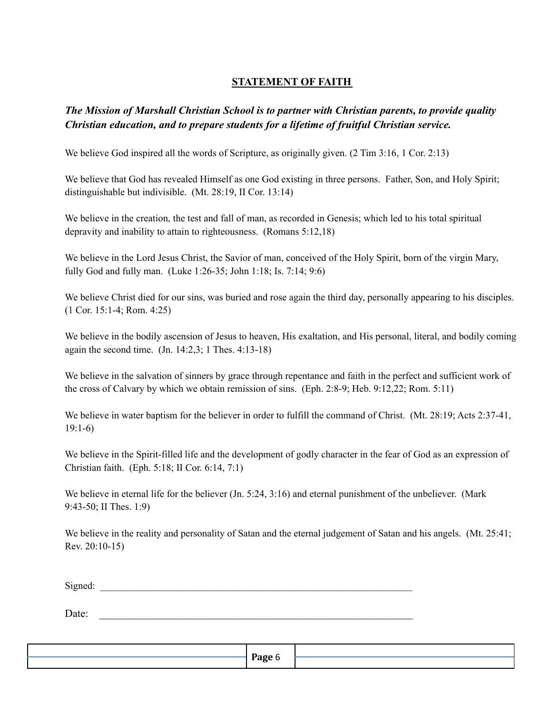### **STATEMENT OF FAITH**

## *The Mission of Marshall Christian School is to partner with Christian parents, to provide quality Christian education, and to prepare students for a lifetime of fruitful Christian service.*

We believe God inspired all the words of Scripture, as originally given.  $(2 \text{ Tim } 3:16, 1 \text{ Cor. } 2:13)$ 

We believe that God has revealed Himself as one God existing in three persons. Father, Son, and Holy Spirit; distinguishable but indivisible. (Mt. 28:19, II Cor. 13:14)

We believe in the creation, the test and fall of man, as recorded in Genesis; which led to his total spiritual depravity and inability to attain to righteousness. (Romans 5:12,18)

We believe in the Lord Jesus Christ, the Savior of man, conceived of the Holy Spirit, born of the virgin Mary, fully God and fully man. (Luke 1:26-35; John 1:18; Is. 7:14; 9:6)

We believe Christ died for our sins, was buried and rose again the third day, personally appearing to his disciples. (1 Cor. 15:1-4; Rom. 4:25)

We believe in the bodily ascension of Jesus to heaven, His exaltation, and His personal, literal, and bodily coming again the second time.  $(In. 14:2,3; 1]$  Thes.  $4:13-18$ )

We believe in the salvation of sinners by grace through repentance and faith in the perfect and sufficient work of the cross of Calvary by which we obtain remission of sins. (Eph. 2:8-9; Heb. 9:12,22; Rom. 5:11)

We believe in water baptism for the believer in order to fulfill the command of Christ. (Mt. 28:19; Acts 2:37-41, 19:1-6)

We believe in the Spirit-filled life and the development of godly character in the fear of God as an expression of Christian faith. (Eph. 5:18; II Cor. 6:14, 7:1)

We believe in eternal life for the believer (Jn. 5:24, 3:16) and eternal punishment of the unbeliever. (Mark 9:43-50; II Thes. 1:9)

We believe in the reality and personality of Satan and the eternal judgement of Satan and his angels. (Mt. 25:41; Rev. 20:10-15)

| Signed: |
|---------|
|---------|

 $Date:$ 

|  | $P$ age 6 |  |
|--|-----------|--|
|  |           |  |